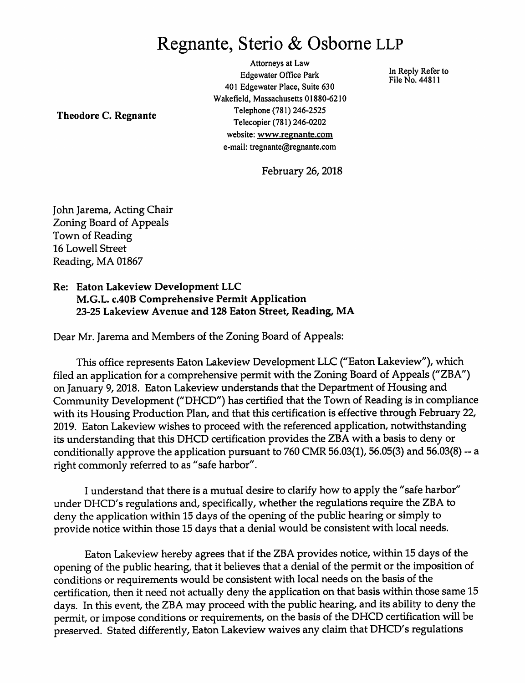## Regnante, Sterio & Osbome LLP

Attorneys at Law Edgewater Office Park File No. 44811 401 Edgewater Place, Suite 630 Wakefield, Massachusetts 01880-6210 Telephone (781) 246-2525 Telecopier (781) 246-0202 website: www.regnante.com e-mail: tregnante@regnante.com

Theodore C. Regnante

February 26,2018

John Jarema, Acting Chair Zoning Board of Appeals Town of Reading 16 Lowell Street Reading, MA 01867

Re: Eaton Lakeview Development LLC M.G.L. C.40B Comprehensive Permit Application 23-25 Lakeview Avenue and 128 Eaton Street, Reading, MA

Dear Mr. Jarema and Members of the Zoning Board of Appeals:

This office represents Eaton Lakeview Development LLC ("Eaton Lakeview"), which filed an application for a comprehensive permit with the Zoning Board of Appeals ("ZBA") on January 9, 2018. Eaton Lakeview understands that the Department of Housing and Community Development ("DHCD") has certified that the Town of Reading is in compliance with its Housing Production Plan, and that this certification is effective through February 22, 2019. Eaton Lakeview wishes to proceed with the referenced application, notwithstanding its understanding that this DHCD certification provides the ZBA with a basisto deny or conditionally approve the application pursuant to  $760$  CMR 56.03(1), 56.05(3) and 56.03(8) -- a right commonly referred to as "safe harbor".

1understand that there is a mutual desire to clarify how to apply the "safe harbor" under DHCD's regulations and, specifically, whether the regulations require the ZBA to deny the application within 15 days of the opening of the public hearing or simply to provide notice within those 15 days that a denial would be consistent with local needs.

EatonLakeview hereby agrees that if the ZBA provides notice, within 15days of the opening of the public hearing, that it believes that a denial of the permit or the imposition of conditions or requirements would be consistent with local needs on the basis of the certification, then it need not actually deny the application on that basis within those same 15 days. In this event, the ZBA may proceed with the public hearing, and its ability to deny the permit, or impose conditions or requirements, on the basis of the DHCD certification will be preserved. Stated differently, Eaton Lakeview waives any claim that DHCD's regulations